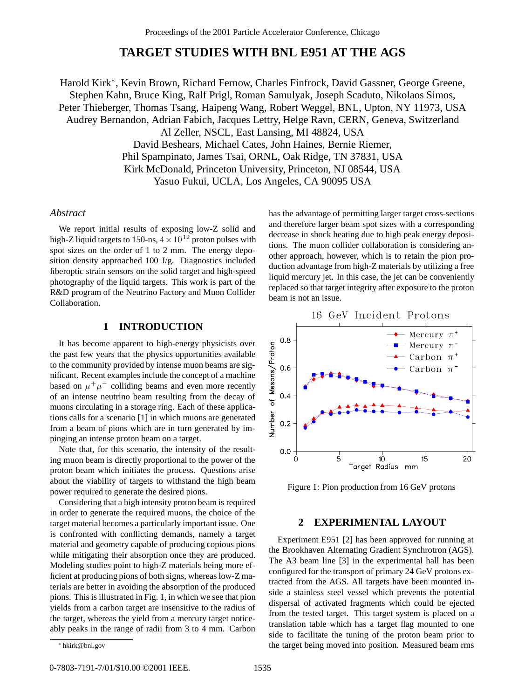# **TARGET STUDIES WITH BNL E951 AT THE AGS**

Harold Kirk∗, Kevin Brown, Richard Fernow, Charles Finfrock, David Gassner, George Greene, Stephen Kahn, Bruce King, Ralf Prigl, Roman Samulyak, Joseph Scaduto, Nikolaos Simos, Peter Thieberger, Thomas Tsang, Haipeng Wang, Robert Weggel, BNL, Upton, NY 11973, USA Audrey Bernandon, Adrian Fabich, Jacques Lettry, Helge Ravn, CERN, Geneva, Switzerland Al Zeller, NSCL, East Lansing, MI 48824, USA David Beshears, Michael Cates, John Haines, Bernie Riemer, Phil Spampinato, James Tsai, ORNL, Oak Ridge, TN 37831, USA Kirk McDonald, Princeton University, Princeton, NJ 08544, USA Yasuo Fukui, UCLA, Los Angeles, CA 90095 USA

# *Abstract*

We report initial results of exposing low-Z solid and high-Z liquid targets to 150-ns,  $4 \times 10^{12}$  proton pulses with spot sizes on the order of 1 to 2 mm. The energy deposition density approached 100 J/g. Diagnostics included fiberoptic strain sensors on the solid target and high-speed photography of the liquid targets. This work is part of the R&D program of the Neutrino Factory and Muon Collider Collaboration.

# **1 INTRODUCTION**

It has become apparent to high-energy physicists over the past few years that the physics opportunities available to the community provided by intense muon beams are significant. Recent examples include the concept of a machine based on  $\mu^+\mu^-$  colliding beams and even more recently of an intense neutrino beam resulting from the decay of muons circulating in a storage ring. Each of these applications calls for a scenario [1] in which muons are generated from a beam of pions which are in turn generated by impinging an intense proton beam on a target.

Note that, for this scenario, the intensity of the resulting muon beam is directly proportional to the power of the proton beam which initiates the process. Questions arise about the viability of targets to withstand the high beam power required to generate the desired pions.

Considering that a high intensity proton beam is required in order to generate the required muons, the choice of the target material becomes a particularly important issue. One is confronted with conflicting demands, namely a target material and geometry capable of producing copious pions while mitigating their absorption once they are produced. Modeling studies point to high-Z materials being more efficient at producing pions of both signs, whereas low-Z materials are better in avoiding the absorption of the produced pions. This is illustrated in Fig. 1, in which we see that pion yields from a carbon target are insensitive to the radius of the target, whereas the yield from a mercury target noticeably peaks in the range of radii from 3 to 4 mm. Carbon

has the advantage of permitting larger target cross-sections and therefore larger beam spot sizes with a corresponding decrease in shock heating due to high peak energy depositions. The muon collider collaboration is considering another approach, however, which is to retain the pion production advantage from high-Z materials by utilizing a free liquid mercury jet. In this case, the jet can be conveniently replaced so that target integrity after exposure to the proton beam is not an issue.



Figure 1: Pion production from 16 GeV protons

### **2 EXPERIMENTAL LAYOUT**

Experiment E951 [2] has been approved for running at the Brookhaven Alternating Gradient Synchrotron (AGS). The A3 beam line [3] in the experimental hall has been configured for the transport of primary 24 GeV protons extracted from the AGS. All targets have been mounted inside a stainless steel vessel which prevents the potential dispersal of activated fragments which could be ejected from the tested target. This target system is placed on a translation table which has a target flag mounted to one side to facilitate the tuning of the proton beam prior to the target being moved into position. Measured beam rms

<sup>∗</sup> hkirk@bnl.gov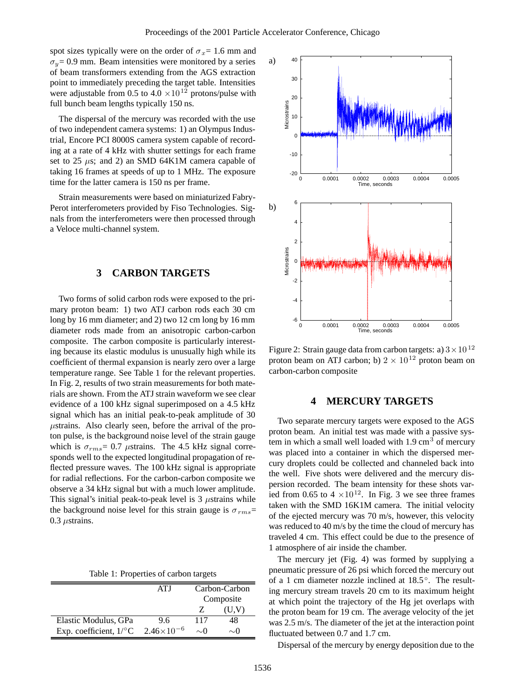spot sizes typically were on the order of  $\sigma_{\tau} = 1.6$  mm and  $\sigma_y = 0.9$  mm. Beam intensities were monitored by a series of beam transformers extending from the AGS extraction point to immediately preceding the target table. Intensities were adjustable from 0.5 to  $4.0 \times 10^{12}$  protons/pulse with full bunch beam lengths typically 150 ns.

The dispersal of the mercury was recorded with the use of two independent camera systems: 1) an Olympus Industrial, Encore PCI 8000S camera system capable of recording at a rate of 4 kHz with shutter settings for each frame set to 25  $\mu$ s; and 2) an SMD 64K1M camera capable of taking 16 frames at speeds of up to 1 MHz. The exposure time for the latter camera is 150 ns per frame.

Strain measurements were based on miniaturized Fabry-Perot interferometers provided by Fiso Technologies. Signals from the interferometers were then processed through a Veloce multi-channel system.

# **3 CARBON TARGETS**

Two forms of solid carbon rods were exposed to the primary proton beam: 1) two ATJ carbon rods each 30 cm long by 16 mm diameter; and 2) two 12 cm long by 16 mm diameter rods made from an anisotropic carbon-carbon composite. The carbon composite is particularly interesting because its elastic modulus is unusually high while its coefficient of thermal expansion is nearly zero over a large temperature range. See Table 1 for the relevant properties. In Fig. 2, results of two strain measurements for both materials are shown. From the ATJ strain waveform we see clear evidence of a 100 kHz signal superimposed on a 4.5 kHz signal which has an initial peak-to-peak amplitude of 30 µstrains. Also clearly seen, before the arrival of the proton pulse, is the background noise level of the strain gauge which is  $\sigma_{rms}$  = 0.7  $\mu$ strains. The 4.5 kHz signal corresponds well to the expected longitudinal propagation of reflected pressure waves. The 100 kHz signal is appropriate for radial reflections. For the carbon-carbon composite we observe a 34 kHz signal but with a much lower amplitude. This signal's initial peak-to-peak level is  $3 \mu$ strains while the background noise level for this strain gauge is  $\sigma_{rms}$ =  $0.3 \mu$ strains.

Table 1: Properties of carbon targets

|                                     | ATI                 | Carbon-Carbon<br>Composite |           |
|-------------------------------------|---------------------|----------------------------|-----------|
|                                     |                     |                            | (U,V)     |
| Elastic Modulus, GPa                | 96                  | 117                        | 48        |
| Exp. coefficient, $1$ / $\degree$ C | $2.46\times10^{-6}$ | $\sim$ ()                  | $\sim$ () |



Figure 2: Strain gauge data from carbon targets: a)  $3 \times 10^{12}$ proton beam on ATJ carbon; b)  $2 \times 10^{12}$  proton beam on carbon-carbon composite

#### **4 MERCURY TARGETS**

Two separate mercury targets were exposed to the AGS proton beam. An initial test was made with a passive system in which a small well loaded with  $1.9 \text{ cm}^3$  of mercury was placed into a container in which the dispersed mercury droplets could be collected and channeled back into the well. Five shots were delivered and the mercury dispersion recorded. The beam intensity for these shots varied from 0.65 to 4  $\times$ 10<sup>12</sup>. In Fig. 3 we see three frames taken with the SMD 16K1M camera. The initial velocity of the ejected mercury was 70 m/s, however, this velocity was reduced to 40 m/s by the time the cloud of mercury has traveled 4 cm. This effect could be due to the presence of 1 atmosphere of air inside the chamber.

The mercury jet (Fig. 4) was formed by supplying a pneumatic pressure of 26 psi which forced the mercury out of a 1 cm diameter nozzle inclined at 18.5◦. The resulting mercury stream travels 20 cm to its maximum height at which point the trajectory of the Hg jet overlaps with the proton beam for 19 cm. The average velocity of the jet was 2.5 m/s. The diameter of the jet at the interaction point fluctuated between 0.7 and 1.7 cm.

Dispersal of the mercury by energy deposition due to the